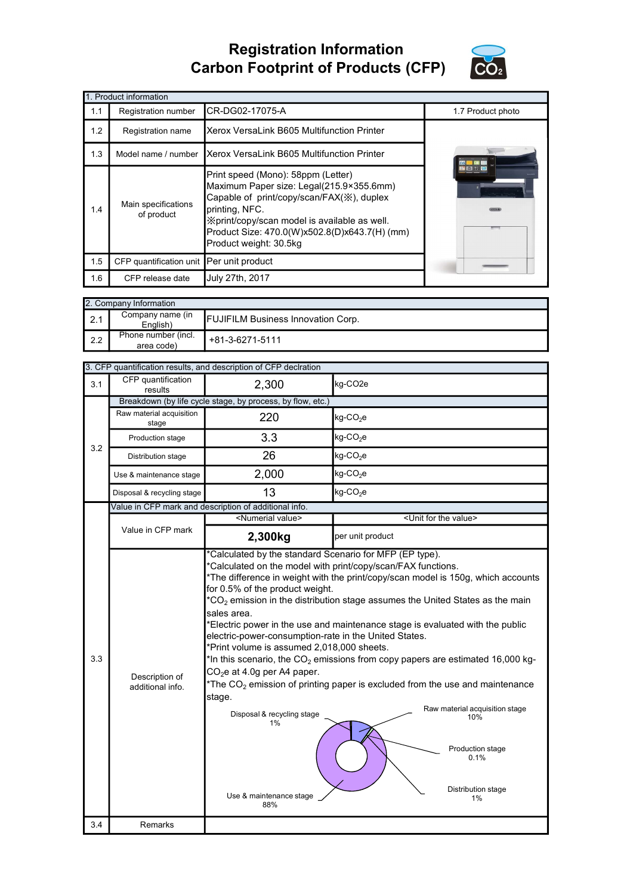## Registration Information Carbon Footprint of Products (CFP)



|     | 1. Product information                   |                                                                                                                                                                                                                                                                           |                   |
|-----|------------------------------------------|---------------------------------------------------------------------------------------------------------------------------------------------------------------------------------------------------------------------------------------------------------------------------|-------------------|
| 1.1 | Registration number                      | CR-DG02-17075-A                                                                                                                                                                                                                                                           | 1.7 Product photo |
| 1.2 | Registration name                        | Xerox VersaLink B605 Multifunction Printer                                                                                                                                                                                                                                |                   |
| 1.3 | Model name / number                      | Xerox VersaLink B605 Multifunction Printer                                                                                                                                                                                                                                |                   |
| 1.4 | Main specifications<br>of product        | Print speed (Mono): 58ppm (Letter)<br>Maximum Paper size: Legal(215.9×355.6mm)<br>Capable of print/copy/scan/FAX(※), duplex<br>printing, NFC.<br>X print/copy/scan model is available as well.<br>Product Size: 470.0(W)x502.8(D)x643.7(H) (mm)<br>Product weight: 30.5kg |                   |
| 1.5 | CFP quantification unit Per unit product |                                                                                                                                                                                                                                                                           |                   |
| 1.6 | CFP release date                         | July 27th, 2017                                                                                                                                                                                                                                                           |                   |

| 2. Company Information |                                   |                                           |  |
|------------------------|-----------------------------------|-------------------------------------------|--|
| 2.1                    | Company name (in<br>English)      | <b>FUJIFILM Business Innovation Corp.</b> |  |
| 2.2                    | Phone number (incl.<br>area code) | +81-3-6271-5111                           |  |

| CFP quantification<br>2,300<br>kg-CO2e<br>3.1<br>results<br>Breakdown (by life cycle stage, by process, by flow, etc.)<br>Raw material acquisition<br>220<br>kg-CO <sub>2</sub> e<br>stage<br>3.3<br>$kg$ -CO <sub>2</sub> e<br>Production stage<br>3.2<br>26<br>kg-CO <sub>2</sub> e<br>Distribution stage<br>2,000<br>$kg$ -CO <sub>2</sub> e<br>Use & maintenance stage<br>13<br>kg-CO <sub>2</sub> e<br>Disposal & recycling stage<br>Value in CFP mark and description of additional info.<br><numerial value=""><br/><unit for="" the="" value=""><br/>Value in CFP mark<br/>per unit product<br/>2,300kg<br/>*Calculated by the standard Scenario for MFP (EP type).<br/>*Calculated on the model with print/copy/scan/FAX functions.<br/>*The difference in weight with the print/copy/scan model is 150g, which accounts<br/>for 0.5% of the product weight.<br/><math>*CO2</math> emission in the distribution stage assumes the United States as the main<br/>sales area.<br/>*Electric power in the use and maintenance stage is evaluated with the public<br/>electric-power-consumption-rate in the United States.<br/>*Print volume is assumed 2,018,000 sheets.<br/>3.3<br/>*In this scenario, the <math>CO2</math> emissions from copy papers are estimated 16,000 kg-<br/>CO<sub>2</sub>e at 4.0g per A4 paper.<br/>Description of<br/>*The <math>CO2</math> emission of printing paper is excluded from the use and maintenance<br/>additional info.<br/>stage.<br/>Raw material acquisition stage<br/>Disposal &amp; recycling stage<br/>10%<br/>1%<br/>Production stage<br/>0.1%<br/>Distribution stage<br/>Use &amp; maintenance stage<br/>1%<br/>88%<br/>3.4<br/>Remarks</unit></numerial> |  | 3. CFP quantification results, and description of CFP declration |  |
|-------------------------------------------------------------------------------------------------------------------------------------------------------------------------------------------------------------------------------------------------------------------------------------------------------------------------------------------------------------------------------------------------------------------------------------------------------------------------------------------------------------------------------------------------------------------------------------------------------------------------------------------------------------------------------------------------------------------------------------------------------------------------------------------------------------------------------------------------------------------------------------------------------------------------------------------------------------------------------------------------------------------------------------------------------------------------------------------------------------------------------------------------------------------------------------------------------------------------------------------------------------------------------------------------------------------------------------------------------------------------------------------------------------------------------------------------------------------------------------------------------------------------------------------------------------------------------------------------------------------------------------------------------------------------------------------------------------------|--|------------------------------------------------------------------|--|
|                                                                                                                                                                                                                                                                                                                                                                                                                                                                                                                                                                                                                                                                                                                                                                                                                                                                                                                                                                                                                                                                                                                                                                                                                                                                                                                                                                                                                                                                                                                                                                                                                                                                                                                   |  |                                                                  |  |
|                                                                                                                                                                                                                                                                                                                                                                                                                                                                                                                                                                                                                                                                                                                                                                                                                                                                                                                                                                                                                                                                                                                                                                                                                                                                                                                                                                                                                                                                                                                                                                                                                                                                                                                   |  |                                                                  |  |
|                                                                                                                                                                                                                                                                                                                                                                                                                                                                                                                                                                                                                                                                                                                                                                                                                                                                                                                                                                                                                                                                                                                                                                                                                                                                                                                                                                                                                                                                                                                                                                                                                                                                                                                   |  |                                                                  |  |
|                                                                                                                                                                                                                                                                                                                                                                                                                                                                                                                                                                                                                                                                                                                                                                                                                                                                                                                                                                                                                                                                                                                                                                                                                                                                                                                                                                                                                                                                                                                                                                                                                                                                                                                   |  |                                                                  |  |
|                                                                                                                                                                                                                                                                                                                                                                                                                                                                                                                                                                                                                                                                                                                                                                                                                                                                                                                                                                                                                                                                                                                                                                                                                                                                                                                                                                                                                                                                                                                                                                                                                                                                                                                   |  |                                                                  |  |
|                                                                                                                                                                                                                                                                                                                                                                                                                                                                                                                                                                                                                                                                                                                                                                                                                                                                                                                                                                                                                                                                                                                                                                                                                                                                                                                                                                                                                                                                                                                                                                                                                                                                                                                   |  |                                                                  |  |
|                                                                                                                                                                                                                                                                                                                                                                                                                                                                                                                                                                                                                                                                                                                                                                                                                                                                                                                                                                                                                                                                                                                                                                                                                                                                                                                                                                                                                                                                                                                                                                                                                                                                                                                   |  |                                                                  |  |
|                                                                                                                                                                                                                                                                                                                                                                                                                                                                                                                                                                                                                                                                                                                                                                                                                                                                                                                                                                                                                                                                                                                                                                                                                                                                                                                                                                                                                                                                                                                                                                                                                                                                                                                   |  |                                                                  |  |
|                                                                                                                                                                                                                                                                                                                                                                                                                                                                                                                                                                                                                                                                                                                                                                                                                                                                                                                                                                                                                                                                                                                                                                                                                                                                                                                                                                                                                                                                                                                                                                                                                                                                                                                   |  |                                                                  |  |
|                                                                                                                                                                                                                                                                                                                                                                                                                                                                                                                                                                                                                                                                                                                                                                                                                                                                                                                                                                                                                                                                                                                                                                                                                                                                                                                                                                                                                                                                                                                                                                                                                                                                                                                   |  |                                                                  |  |
|                                                                                                                                                                                                                                                                                                                                                                                                                                                                                                                                                                                                                                                                                                                                                                                                                                                                                                                                                                                                                                                                                                                                                                                                                                                                                                                                                                                                                                                                                                                                                                                                                                                                                                                   |  |                                                                  |  |
|                                                                                                                                                                                                                                                                                                                                                                                                                                                                                                                                                                                                                                                                                                                                                                                                                                                                                                                                                                                                                                                                                                                                                                                                                                                                                                                                                                                                                                                                                                                                                                                                                                                                                                                   |  |                                                                  |  |